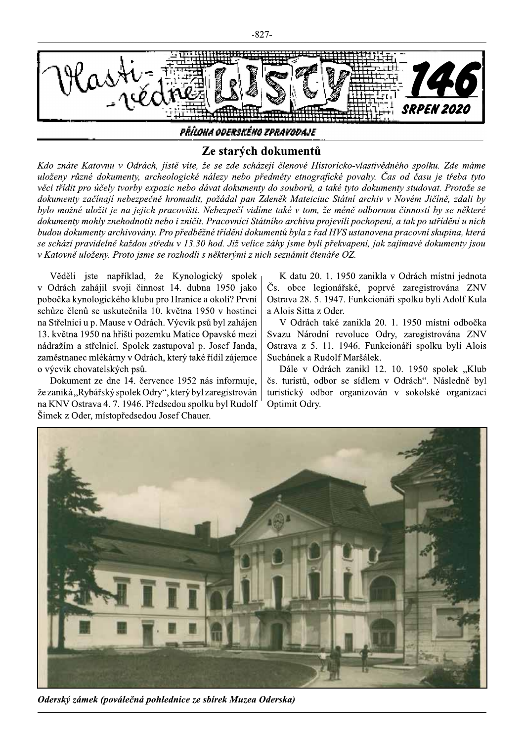SRPEN 2020 PŘÍLOHA ODERSKÉHO ZPRAVODAJE

# Ze starých dokumentů

Kdo znáte Katovnu v Odrách, jistě víte, že se zde scházejí členové Historicko-vlastivědného spolku. Zde máme uloženy různé dokumenty, archeologické nálezy nebo předměty etnografické povahy. Čas od času je třeba tyto věci třídit pro účely tvorby expozic nebo dávat dokumenty do souborů, a také tyto dokumenty studovat. Protože se dokumenty začínají nebezpečně hromadit, požádal pan Zdeněk Mateiciuc Státní archiv v Novém Jičíně, zdali by bylo možné uložit je na jejich pracovišti. Nebezpečí vidíme také v tom, že méně odbornou činností by se některé dokumenty mohly znehodnotit nebo i zničit. Pracovníci Státního archivu projevili pochopení, a tak po utřídění u nich budou dokumenty archivovány. Pro předběžné třídění dokumentů byla z řad HVS ustanovena pracovní skupina, která se schází pravidelně každou středu v 13.30 hod. Již velice záhy jsme byli překvapeni, jak zajímavé dokumenty jsou v Katovně uloženy. Proto jsme se rozhodli s některými z nich seznámit čtenáře OZ.

Věděli jste například, že Kynologický spolek v Odrách zahájil svoji činnost 14. dubna 1950 jako pobočka kynologického klubu pro Hranice a okolí? První schůze členů se uskutečnila 10. května 1950 v hostinci na Střelnici u p. Mause v Odrách. Výcvik psů byl zahájen 13. května 1950 na hřišti pozemku Matice Opavské mezi nádražím a střelnicí. Spolek zastupoval p. Josef Janda, zaměstnanec mlékárny v Odrách, který také řídil zájemce o výcvik chovatelských psů.

Dokument ze dne 14. července 1952 nás informuje, že zaniká, Rybářský spolek Odry", který byl zaregistrován na KNV Ostrava 4.7.1946. Předsedou spolku byl Rudolf Šimek z Oder, místopředsedou Josef Chauer.

K datu 20. 1. 1950 zanikla v Odrách místní jednota Čs. obce legionářské, poprvé zaregistrována ZNV Ostrava 28. 5. 1947. Funkcionáři spolku byli Adolf Kula a Alois Sitta z Oder.

V Odrách také zanikla 20. 1. 1950 místní odbočka Svazu Národní revoluce Odry, zaregistrována ZNV Ostrava z 5. 11. 1946. Funkcionáři spolku byli Alois Suchánek a Rudolf Maršálek.

Dále v Odrách zanikl 12. 10. 1950 spolek "Klub čs. turistů, odbor se sídlem v Odrách". Následně byl turistický odbor organizován v sokolské organizaci Optimit Odry.



Oderský zámek (poválečná pohlednice ze sbírek Muzea Oderska)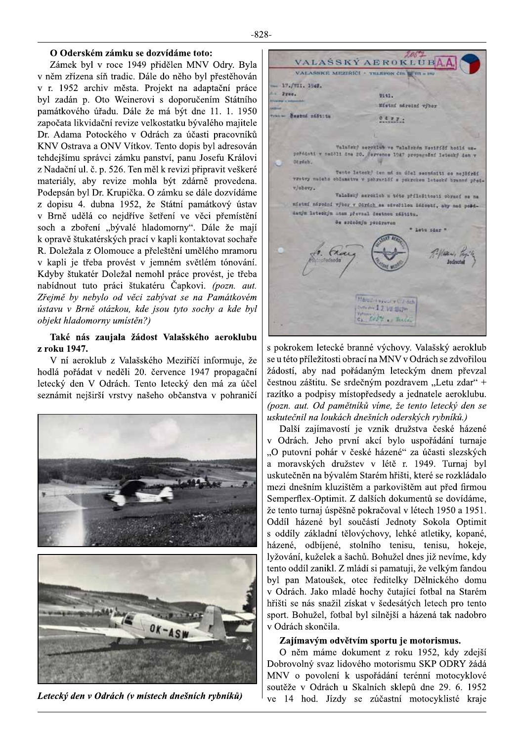#### O Oderském zámku se dozvídáme toto:

Zámek byl v roce 1949 přidělen MNV Odry. Byla v něm zřízena síň tradic. Dále do něho byl přestěhován v r. 1952 archiv města. Projekt na adaptační práce byl zadán p. Oto Weinerovi s doporučením Státního památkového úřadu. Dále že má být dne 11. 1. 1950 započata likvidační revize velkostatku bývalého majitele Dr. Adama Potockého v Odrách za účasti pracovníků KNV Ostrava a ONV Vítkov. Tento dopis byl adresován tehdejšímu správci zámku panství, panu Josefu Královi z Nadační ul. č. p. 526. Ten měl k revizi připravit veškeré materiály, aby revize mohla být zdárně provedena. Podepsán byl Dr. Krupička. O zámku se dále dozvídáme z dopisu 4. dubna 1952, že Státní památkový ústav v Brně udělá co nejdříve šetření ve věci přemístění soch a zboření "bývalé hladomorny". Dále že mají k opravě štukatérských prací v kapli kontaktovat sochaře R. Doležala z Olomouce a přeleštění umělého mramoru v kapli je třeba provést v jemném světlém tónování. Kdyby štukatér Doležal nemohl práce provést, je třeba nabídnout tuto práci štukatéru Čapkovi. (pozn. aut. Zřejmě by nebylo od věci zabývat se na Památkovém ústavu v Brně otázkou, kde jsou tyto sochy a kde byl objekt hladomorny umístěn?)

### Také nás zaujala žádost Valašského aeroklubu z roku 1947.

V ní aeroklub z Valašského Meziříčí informuje, že hodlá pořádat v neděli 20. července 1947 propagační letecký den V Odrách. Tento letecký den má za účel seznámit nejširší vrstvy našeho občanstva v pohraničí



Letecký den v Odrách (v místech dnešních rybníků)



s pokrokem letecké branné výchovy. Valašský aeroklub se u této příležitosti obrací na MNV v Odrách se zdvořilou žádostí, aby nad pořádaným leteckým dnem převzal čestnou záštitu. Se srdečným pozdravem "Letu zdar" + razítko a podpisy místopředsedy a jednatele aeroklubu. (pozn. aut. Od pamětníků víme, že tento letecký den se uskutečnil na loukách dnešních oderských rybníků.)

Další zajímavostí je vznik družstva české házené v Odrách. Jeho první akcí bylo uspořádání turnaje "O putovní pohár v české házené" za účasti slezských a moravských družstev v létě r. 1949. Turnaj byl uskutečněn na bývalém Starém hřišti, které se rozkládalo mezi dnešním kluzištěm a parkovištěm aut před firmou Semperflex-Optimit. Z dalších dokumentů se dovídáme, že tento turnaj úspěšně pokračoval v létech 1950 a 1951. Oddíl házené byl součástí Jednoty Sokola Optimit s oddíly základní tělovýchovy, lehké atletiky, kopané, házené, odbíjené, stolního tenisu, tenisu, hokeje, lyžování, kuželek a šachů. Bohužel dnes již nevíme, kdy tento oddíl zanikl. Z mládí si pamatuji, že velkým fandou byl pan Matoušek, otec ředitelky Dělnického domu v Odrách. Jako mladé hochy čutající fotbal na Starém hřišti se nás snažil získat v šedesátých letech pro tento sport. Bohužel, fotbal byl silnější a házená tak nadobro v Odrách skončila.

#### Zajímavým odvětvím sportu je motorismus.

O něm máme dokument z roku 1952, kdy zdejší Dobrovolný svaz lidového motorismu SKP ODRY žádá MNV o povolení k uspořádání terénní motocyklové soutěže v Odrách u Skalních sklepů dne 29. 6. 1952 ve 14 hod. Jízdy se zúčastní motocyklisté kraje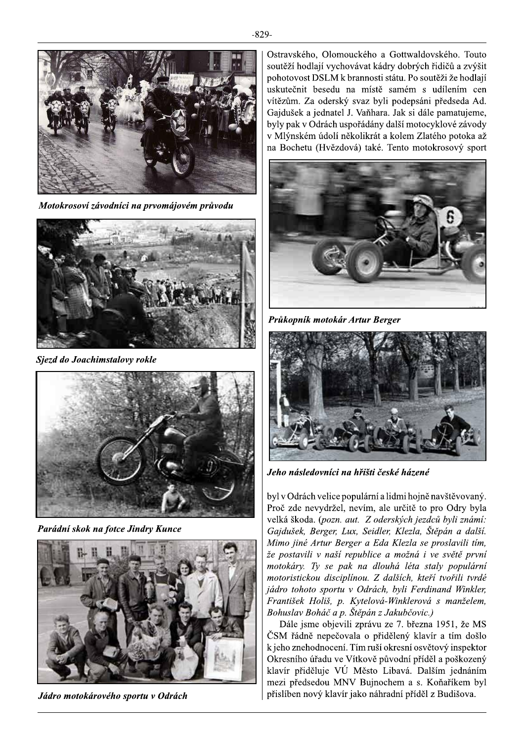

Motokrosoví závodníci na prvomájovém průvodu



Sjezd do Joachimstalovy rokle



Parádní skok na fotce Jindry Kunce



Jádro motokárového sportu v Odrách

Ostravského, Olomouckého a Gottwaldovského. Touto soutěží hodlají vychovávat kádry dobrých řidičů a zvýšit pohotovost DSLM k brannosti státu. Po soutěži že hodlají uskutečnit besedu na místě samém s udílením cen vítězům. Za oderský svaz byli podepsáni předseda Ad. Gajdušek a jednatel J. Vaňhara. Jak si dále pamatujeme, byly pak v Odrách uspořádány další motocyklové závody v Mlýnském údolí několikrát a kolem Zlatého potoka až na Bochetu (Hvězdová) také. Tento motokrosový sport



Průkopník motokár Artur Berger



Jeho následovníci na hřišti české házené

byl v Odrách velice populární a lidmi hojně navštěvovaný. Proč zde nevydržel, nevím, ale určitě to pro Odry byla velká škoda. (pozn. aut. Z oderských jezdců byli známí: Gajdušek, Berger, Lux, Seidler, Klezla, Štěpán a další. Mimo jiné Artur Berger a Eda Klezla se proslavili tím, že postavili v naší republice a možná i ve světě první motokáry. Ty se pak na dlouhá léta staly populární motoristickou disciplínou. Z dalších, kteří tvořili tvrdé jádro tohoto sportu v Odrách, byli Ferdinand Winkler, František Holiš, p. Kytelová-Winklerová s manželem, Bohuslav Boháč a p. Štěpán z Jakubčovic.)

Dále jsme objevili zprávu ze 7. března 1951, že MS ČSM řádně nepečovala o přidělený klavír a tím došlo k jeho znehodnocení. Tím ruší okresní osvětový inspektor Okresního úřadu ve Vítkově původní příděl a poškozený klavír přiděluje VÚ Město Libavá. Dalším jednáním mezi předsedou MNV Bujnochem a s. Koňaříkem byl přislíben nový klavír jako náhradní příděl z Budišova.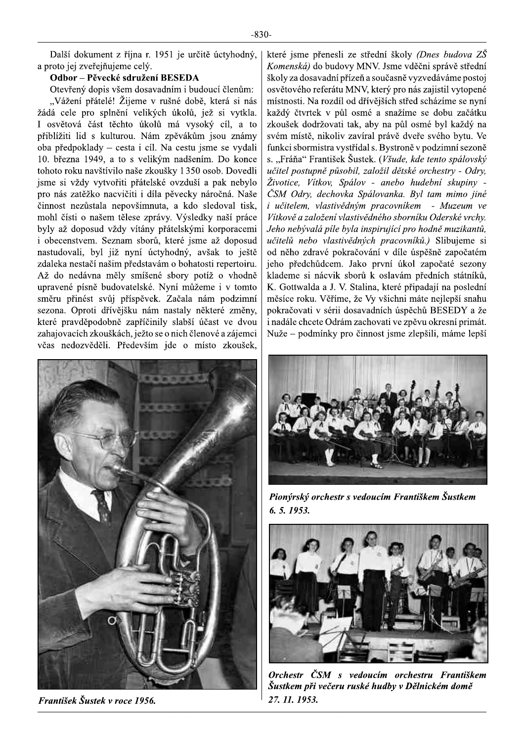Další dokument z října r. 1951 je určitě úctyhodný, a proto jej zveřejňujeme celý.

## Odbor – Pěvecké sdružení BESEDA

Otevřený dopis všem dosavadním i budoucí členům:

"Vážení přátelé! Žijeme v rušné době, která si nás žádá cele pro splnění velikých úkolů, jež si vytkla. I osvětová část těchto úkolů má vysoký cíl, a to přiblížiti lid s kulturou. Nám zpěvákům jsou známy oba předpoklady – cesta i cíl. Na cestu jsme se vydali 10. března 1949, a to s velikým nadšením. Do konce tohoto roku navštívilo naše zkoušky 1 350 osob. Dovedli jsme si vždy vytvořiti přátelské ovzduší a pak nebylo pro nás zatěžko nacvičiti i díla pěvecky náročná. Naše činnost nezůstala nepovšimnuta, a kdo sledoval tisk, mohl čísti o našem tělese zprávy. Výsledky naší práce byly až doposud vždy vítány přátelskými korporacemi i obecenstvem. Seznam sborů, které jsme až doposud nastudovali, byl již nyní úctyhodný, avšak to ještě zdaleka nestačí našim představám o bohatosti repertoiru. Až do nedávna měly smíšené sbory potíž o vhodně upravené písně budovatelské. Nyní můžeme i v tomto směru přinést svůj příspěvek. Začala nám podzimní sezona. Oproti dřívějšku nám nastaly některé změny, které pravděpodobně zapříčinily slabší účast ve dvou zahajovacích zkouškách, ježto se o nich členové a zájemci včas nedozvěděli. Především jde o místo zkoušek,



František Šustek v roce 1956.

které jsme přenesli ze střední školy (Dnes budova ZŠ Komenská) do budovy MNV. Jsme vděčni správě střední školy za dosavadní přízeň a současně vyzvedáváme postoj osvětového referátu MNV, který pro nás zajistil vytopené místnosti. Na rozdíl od dřívějších střed scházíme se nyní každý čtvrtek v půl osmé a snažíme se dobu začátku zkoušek dodržovati tak, aby na půl osmé byl každý na svém místě, nikoliv zavíral právě dveře svého bytu. Ve funkci sbormistra vystřídal s. Bystroně v podzimní sezoně s. "Fráňa" František Šustek. (Všude, kde tento spálovský učitel postupně působil, založil dětské orchestry - Odry, Životice, Vítkov, Spálov - anebo hudební skupiny -ČSM Odry, dechovka Spálovanka. Byl tam mimo jiné i učitelem, vlastivědným pracovníkem - Muzeum ve Vítkově a založení vlastivědného sborníku Oderské vrchy. Jeho nebývalá píle byla inspirující pro hodně muzikantů, učitelů nebo vlastivědných pracovníků.) Slibujeme si od něho zdravé pokračování v díle úspěšně započatém jeho předchůdcem. Jako první úkol započaté sezony klademe si nácvik sborů k oslavám předních státníků, K. Gottwalda a J. V. Stalina, které připadají na poslední měsíce roku. Věříme, že Vy všichni máte nejlepší snahu pokračovati v sérii dosavadních úspěchů BESEDY a že i nadále chcete Odrám zachovati ve zpěvu okresní primát. Nuže – podmínky pro činnost jsme zlepšili, máme lepší



Pionýrský orchestr s vedoucím Františkem Šustkem 6. 5. 1953.



Orchestr ČSM s vedoucím orchestru Františkem Šustkem při večeru ruské hudby v Dělnickém domě 27. 11. 1953.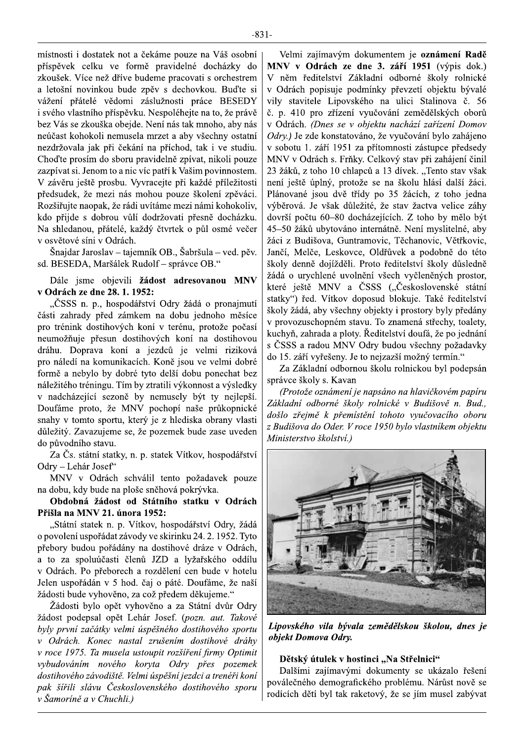místnosti i dostatek not a čekáme pouze na Váš osobní příspěvek celku ve formě pravidelné docházky do zkoušek. Více než dříve budeme pracovati s orchestrem a letošní novinkou bude zpěv s dechovkou. Buďte si vážení přátelé vědomi záslužnosti práce BESEDY i svého vlastního příspěvku. Nespoléhejte na to, že právě bez Vás se zkouška obejde. Není nás tak mnoho, aby nás neúčast kohokoli nemusela mrzet a aby všechny ostatní nezdržovala jak při čekání na příchod, tak i ve studiu. Choďte prosím do sboru pravidelně zpívat, nikoli pouze zazpívat si. Jenom to a nic víc patří k Vašim povinnostem. V závěru ještě prosbu. Vyvracejte při každé příležitosti předsudek, že mezi nás mohou pouze školení zpěváci. Rozšiřujte naopak, že rádi uvítáme mezi námi kohokoliv, kdo přijde s dobrou vůlí dodržovati přesně docházku. Na shledanou, přátelé, každý čtvrtek o půl osmé večer v osvětové síni v Odrách.

Šnajdar Jaroslav – tajemník OB., Šabršula – ved. pěv. sd. BESEDA, Maršálek Rudolf - správce OB."

Dále jsme objevili žádost adresovanou MNV v Odrách ze dne 28. 1. 1952:

"ČSSS n. p., hospodářství Odry žádá o pronajmutí části zahrady před zámkem na dobu jednoho měsíce pro trénink dostihových koní v terénu, protože počasí neumožňuje přesun dostihových koní na dostihovou dráhu. Doprava koní a jezdců je velmi riziková pro náledí na komunikacích. Koně jsou ve velmi dobré formě a nebylo by dobré tyto delší dobu ponechat bez náležitého tréningu. Tím by ztratili výkonnost a výsledky v nadcházející sezoně by nemusely být ty nejlepší. Doufáme proto, že MNV pochopí naše průkopnické snahy v tomto sportu, který je z hlediska obrany vlasti důležitý. Zavazujeme se, že pozemek bude zase uveden do původního stavu.

Za Čs. státní statky, n. p. statek Vítkov, hospodářství Odry - Lehár Josef"

MNV v Odrách schválil tento požadavek pouze na dobu, kdy bude na ploše sněhová pokrývka.

Obdobná žádost od Státního statku v Odrách Přišla na MNV 21. února 1952:

"Státní statek n. p. Vítkov, hospodářství Odry, žádá o povolení uspořádat závody ve skirinku 24. 2. 1952. Tyto přebory budou pořádány na dostihové dráze v Odrách, a to za spoluúčasti členů JZD a lyžařského oddílu v Odrách. Po přeborech a rozdělení cen bude v hotelu Jelen uspořádán v 5 hod. čaj o páté. Doufáme, že naší žádosti bude vyhověno, za což předem děkujeme."

Žádosti bylo opět vyhověno a za Státní dvůr Odry žádost podepsal opět Lehár Josef. (pozn. aut. Takové byly první začátky velmi úspěšného dostihového sportu v Odrách. Konec nastal zrušením dostihové dráhy v roce 1975. Ta musela ustoupit rozšíření firmy Optimit vybudováním nového koryta Odry přes pozemek dostihového závodiště. Velmi úspěšní jezdci a trenéři koní pak šířili slávu Československého dostihového sporu v Šamoríně a v Chuchli.)

Velmi zajímavým dokumentem je oznámení Radě MNV v Odrách ze dne 3. září 1951 (výpis dok.) V něm ředitelství Základní odborné školy rolnické v Odrách popisuje podmínky převzetí objektu bývalé vily stavitele Lipovského na ulici Stalinova č. 56 č. p. 410 pro zřízení vyučování zemědělských oborů v Odrách. (Dnes se v objektu nachází zařízení Domov Odry.) Je zde konstatováno, že vyučování bylo zahájeno v sobotu 1. září 1951 za přítomnosti zástupce předsedy MNV v Odrách s. Frňky. Celkový stav při zahájení činil 23 žáků, z toho 10 chlapců a 13 dívek. "Tento stav však není ještě úplný, protože se na školu hlásí další žáci. Plánované jsou dvě třídy po 35 žácích, z toho jedna výběrová. Je však důležité, že stav žactva velice záhy dovrší počtu 60–80 docházejících. Z toho by mělo být 45-50 žáků ubytováno internátně. Není myslitelné, aby žáci z Budišova, Guntramovic, Těchanovic, Větřkovic, Jančí, Melče, Leskovce, Oldřůvek a podobně do této školy denně dojížděli. Proto ředitelství školy důsledně žádá o urychlené uvolnění všech vyčleněných prostor, které ještě MNV a ČSSS ("Československé státní statky") řed. Vítkov doposud blokuje. Také ředitelství školy žádá, aby všechny objekty i prostory byly předány v provozuschopném stavu. To znamená střechy, toalety, kuchyň, zahrada a ploty. Ředitelství doufá, že po jednání s ČSSS a radou MNV Odry budou všechny požadavky do 15. září vyřešeny. Je to nejzazší možný termín."

Za Základní odbornou školu rolnickou byl podepsán správce školy s. Kavan

(Protože oznámení je napsáno na hlavičkovém papíru Základní odborné školy rolnické v Budišově n. Bud., došlo zřejmě k přemístění tohoto vyučovacího oboru z Budišova do Oder. V roce 1950 bylo vlastníkem objektu Ministerstvo školství.)



Lipovského vila bývala zemědělskou školou, dnes je objekt Domova Odry.

#### Dětský útulek v hostinci "Na Střelnici"

Dalšími zajímavými dokumenty se ukázalo řešení poválečného demografického problému. Nárůst nově se rodících dětí byl tak raketový, že se jím musel zabývat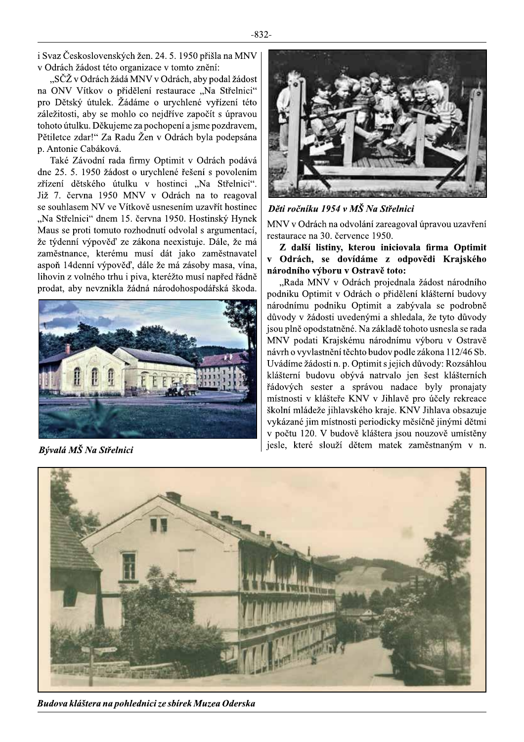"SČŽ v Odrách žádá MNV v Odrách, aby podal žádost na ONV Vítkov o přidělení restaurace "Na Střelnici" pro Dětský útulek. Žádáme o urychlené vyřízení této záležitosti, aby se mohlo co nejdříve započít s úpravou tohoto útulku. Děkujeme za pochopení a jsme pozdravem, Pětiletce zdar!" Za Radu Žen v Odrách byla podepsána p. Antonie Cabáková.

Také Závodní rada firmy Optimit v Odrách podává dne 25. 5. 1950 žádost o urychlené řešení s povolením zřízení dětského útulku v hostinci "Na Střelnici". Již 7. června 1950 MNV v Odrách na to reagoval se souhlasem NV ve Vítkově usnesením uzavřít hostinec "Na Střelnici" dnem 15. června 1950. Hostinský Hynek Maus se proti tomuto rozhodnutí odvolal s argumentací, že týdenní výpověď ze zákona neexistuje. Dále, že má zaměstnance, kterému musí dát jako zaměstnavatel aspoň 14denní výpověď, dále že má zásoby masa, vína, lihovin z volného trhu i piva, kteréžto musí napřed řádně prodat, aby nevznikla žádná národohospodářská škoda.



Bývalá MŠ Na Střelnici



Děti ročníku 1954 v MŠ Na Střelnici

MNV v Odrách na odvolání zareagoval úpravou uzavření restaurace na 30. července 1950.

Z další listiny, kterou iniciovala firma Optimit v Odrách, se dovídáme z odpovědi Krajského národního výboru v Ostravě toto:

"Rada MNV v Odrách projednala žádost národního podniku Optimit v Odrách o přidělení klášterní budovy národnímu podniku Optimit a zabývala se podrobně důvody v žádosti uvedenými a shledala, že tyto důvody jsou plně opodstatněné. Na základě tohoto usnesla se rada MNV podati Krajskému národnímu výboru v Ostravě návrh o vyvlastnění těchto budov podle zákona 112/46 Sb. Uvádíme žádosti n. p. Optimit s jejich důvody: Rozsáhlou klášterní budovu obývá natrvalo jen šest klášterních řádových sester a správou nadace byly pronajaty místnosti v klášteře KNV v Jihlavě pro účely rekreace školní mládeže jihlavského kraje. KNV Jihlava obsazuje vykázané jim místnosti periodicky měsíčně jinými dětmi v počtu 120. V budově kláštera jsou nouzově umístěny jesle, které slouží dětem matek zaměstnaným v n.



Budova kláštera na pohlednici ze sbírek Muzea Oderska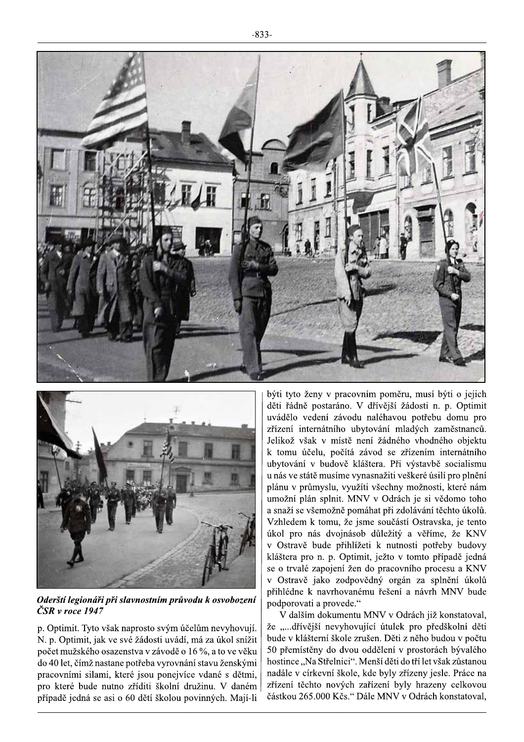



Oderští legionáři při slavnostním průvodu k osvobození **ČSR** v roce 1947

p. Optimit. Tyto však naprosto svým účelům nevyhovují. N. p. Optimit, jak ve své žádosti uvádí, má za úkol snížit počet mužského osazenstva v závodě o 16%, a to ve věku do 40 let, čímž nastane potřeba vyrovnání stavu ženskými pracovními silami, které jsou ponejvíce vdané s dětmi, pro které bude nutno zříditi školní družinu. V daném případě jedná se asi o 60 dětí školou povinných. Mají-li býti tyto ženy v pracovním poměru, musí býti o jejich děti řádně postaráno. V dřívější žádosti n. p. Optimit uvádělo vedení závodu naléhavou potřebu domu pro zřízení internátního ubytování mladých zaměstnanců. Jelikož však v místě není žádného vhodného objektu k tomu účelu, počítá závod se zřízením internátního ubytování v budově kláštera. Při výstavbě socialismu u nás ve státě musíme vynasnažiti veškeré úsilí pro plnění plánu v průmyslu, využíti všechny možnosti, které nám umožní plán splnit. MNV v Odrách je si vědomo toho a snaží se všemožně pomáhat při zdolávání těchto úkolů. Vzhledem k tomu, že jsme součástí Ostravska, je tento úkol pro nás dvojnásob důležitý a věříme, že KNV v Ostravě bude přihlížeti k nutnosti potřeby budovy kláštera pro n. p. Optimit, ježto v tomto případě jedná se o trvalé zapojení žen do pracovního procesu a KNV v Ostravě jako zodpovědný orgán za splnění úkolů přihlédne k navrhovanému řešení a návrh MNV bude podporovati a provede."

V dalším dokumentu MNV v Odrách již konstatoval, že "...dřívější nevyhovující útulek pro předškolní děti bude v klášterní škole zrušen. Děti z něho budou v počtu 50 přemístěny do dvou oddělení v prostorách bývalého hostince "Na Střelnici". Menší děti do tří let však zůstanou nadále v církevní škole, kde byly zřízeny jesle. Práce na zřízení těchto nových zařízení byly hrazeny celkovou částkou 265.000 Kčs." Dále MNV v Odrách konstatoval,